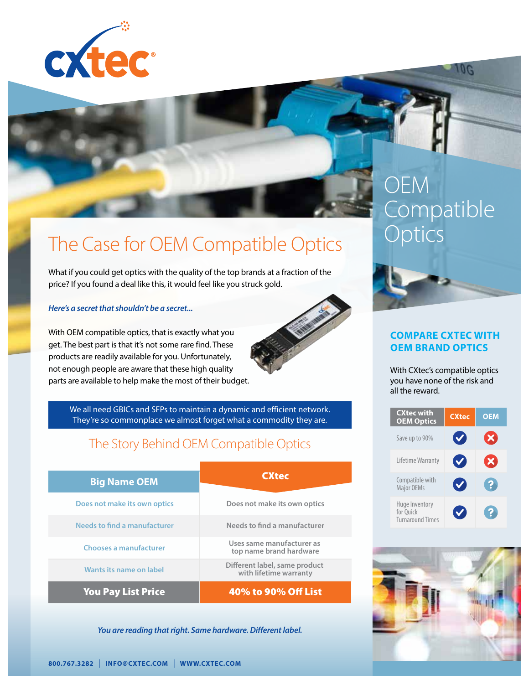

## The Case for OEM Compatible Optics

What if you could get optics with the quality of the top brands at a fraction of the price? If you found a deal like this, it would feel like you struck gold.

#### *Here's a secret that shouldn't be a secret...*

With OEM compatible optics, that is exactly what you get. The best part is that it's not some rare find. These products are readily available for you. Unfortunately, not enough people are aware that these high quality parts are available to help make the most of their budget.



We all need GBICs and SFPs to maintain a dynamic and efficient network. They're so commonplace we almost forget what a commodity they are.

### The Story Behind OEM Compatible Optics

| <b>Big Name OEM</b>           | <b>CXtec</b>                                            |  |
|-------------------------------|---------------------------------------------------------|--|
|                               |                                                         |  |
| Does not make its own optics  | Does not make its own optics                            |  |
| Needs to find a manufacturer  | Needs to find a manufacturer                            |  |
| <b>Chooses a manufacturer</b> | Uses same manufacturer as<br>top name brand hardware    |  |
| Wants its name on label       | Different label, same product<br>with lifetime warranty |  |
| <b>You Pay List Price</b>     | 40% to 90% Off List                                     |  |

*You are reading that right. Same hardware. Different label.*

# **OEM Compatible Optics**

**UG** 



#### **COMPARE CXTEC WITH OEM BRAND OPTICS**

With CXtec's compatible optics you have none of the risk and all the reward.

| <b>CXtec with</b><br><b>OEM Optics</b>                 | <b>CXtec</b>         | <b>OEM</b>            |
|--------------------------------------------------------|----------------------|-----------------------|
| Save up to 90%                                         |                      | $\boldsymbol{\times}$ |
| Lifetime Warranty                                      | $\blacktriangledown$ | XI                    |
| Compatible with<br><b>Major OEMs</b>                   |                      |                       |
| Huge Inventory<br>for Quick<br><b>Turnaround Times</b> |                      |                       |